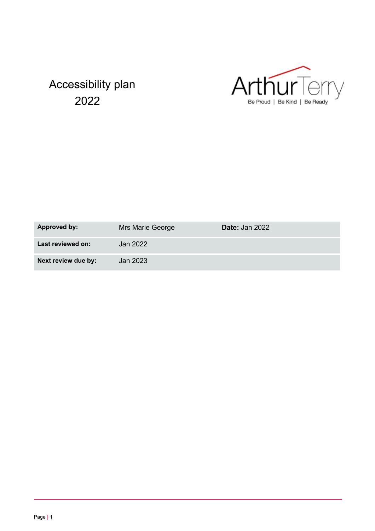# Accessibility plan 2022



| Approved by:        | Mrs Marie George | <b>Date: Jan 2022</b> |
|---------------------|------------------|-----------------------|
| Last reviewed on:   | Jan 2022         |                       |
| Next review due by: | Jan 2023         |                       |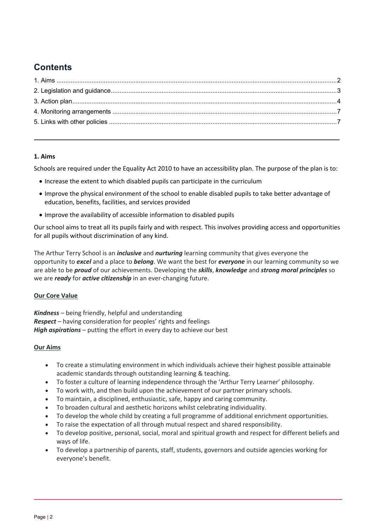# **Contents**

#### **1. Aims**

Schools are required under the Equality Act 2010 to have an accessibility plan. The purpose of the plan is to:

- Increase the extent to which disabled pupils can participate in the curriculum
- Improve the physical environment of the school to enable disabled pupils to take better advantage of education, benefits, facilities, and services provided
- Improve the availability of accessible information to disabled pupils

Our school aims to treat all its pupils fairly and with respect. This involves providing access and opportunities for all pupils without discrimination of any kind.

The Arthur Terry School is an *inclusive* and *nurturing* learning community that gives everyone the opportunity to *excel* and a place to *belong*. We want the best for *everyone* in our learning community so we are able to be *proud* of our achievements. Developing the *skills*, *knowledge* and *strong moral principles* so we are *ready* for *active citizenship* in an ever-changing future.

#### **Our Core Value**

*Kindness* – being friendly, helpful and understanding *Respect* – having consideration for peoples' rights and feelings *High aspirations* – putting the effort in every day to achieve our best

#### **Our Aims**

- To create a stimulating environment in which individuals achieve their highest possible attainable academic standards through outstanding learning & teaching.
- To foster a culture of learning independence through the 'Arthur Terry Learner' philosophy.
- To work with, and then build upon the achievement of our partner primary schools.
- To maintain, a disciplined, enthusiastic, safe, happy and caring community.
- To broaden cultural and aesthetic horizons whilst celebrating individuality.
- To develop the whole child by creating a full programme of additional enrichment opportunities.
- To raise the expectation of all through mutual respect and shared responsibility.
- To develop positive, personal, social, moral and spiritual growth and respect for different beliefs and ways of life.
- To develop a partnership of parents, staff, students, governors and outside agencies working for everyone's benefit.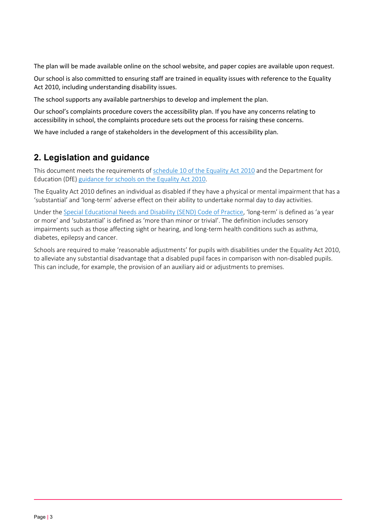The plan will be made available online on the school website, and paper copies are available upon request.

Our school is also committed to ensuring staff are trained in equality issues with reference to the Equality Act 2010, including understanding disability issues.

The school supports any available partnerships to develop and implement the plan.

Our school's complaints procedure covers the accessibility plan. If you have any concerns relating to accessibility in school, the complaints procedure sets out the process for raising these concerns.

We have included a range of stakeholders in the development of this accessibility plan.

# **2. Legislation and guidance**

This document meets the requirements of schedule 10 of the Equality Act 2010 and the Department for Education (DfE) guidance for schools on the Equality Act 2010.

The Equality Act 2010 defines an individual as disabled if they have a physical or mental impairment that has a 'substantial' and 'long-term' adverse effect on their ability to undertake normal day to day activities.

Under the Special Educational Needs and Disability (SEND) Code of Practice, 'long-term' is defined as 'a year or more' and 'substantial' is defined as 'more than minor or trivial'. The definition includes sensory impairments such as those affecting sight or hearing, and long-term health conditions such as asthma, diabetes, epilepsy and cancer.

Schools are required to make 'reasonable adjustments' for pupils with disabilities under the Equality Act 2010, to alleviate any substantial disadvantage that a disabled pupil faces in comparison with non-disabled pupils. This can include, for example, the provision of an auxiliary aid or adjustments to premises.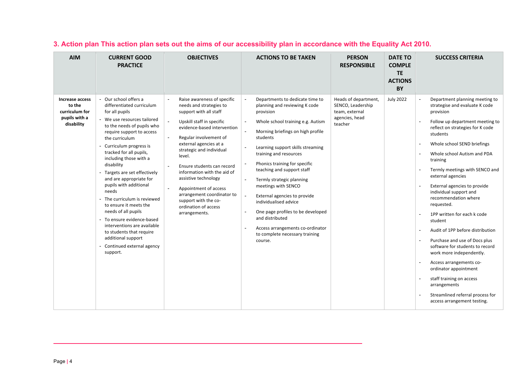| <b>AIM</b>                                                                 | <b>CURRENT GOOD</b><br><b>PRACTICE</b>                                                                                                                                                                                                                                                                                                                                                                                                                                                                                                                                                                          | <b>OBJECTIVES</b>                                                                                                                                                                                                                                                                                                                                                                                                                                                               | <b>ACTIONS TO BE TAKEN</b>                                                                                                                                                                                                                                                                                                                                                                                                                                                                                                                                                                                                                                                        | <b>PERSON</b><br><b>RESPONSIBLE</b>                                                      | <b>DATE TO</b><br><b>COMPLE</b><br><b>TE</b><br><b>ACTIONS</b><br><b>BY</b> | <b>SUCCESS CRITERIA</b>                                                                                                                                                                                                                                                                                                                                                                                                                                                                                                                                                                                                                                                                                                                            |
|----------------------------------------------------------------------------|-----------------------------------------------------------------------------------------------------------------------------------------------------------------------------------------------------------------------------------------------------------------------------------------------------------------------------------------------------------------------------------------------------------------------------------------------------------------------------------------------------------------------------------------------------------------------------------------------------------------|---------------------------------------------------------------------------------------------------------------------------------------------------------------------------------------------------------------------------------------------------------------------------------------------------------------------------------------------------------------------------------------------------------------------------------------------------------------------------------|-----------------------------------------------------------------------------------------------------------------------------------------------------------------------------------------------------------------------------------------------------------------------------------------------------------------------------------------------------------------------------------------------------------------------------------------------------------------------------------------------------------------------------------------------------------------------------------------------------------------------------------------------------------------------------------|------------------------------------------------------------------------------------------|-----------------------------------------------------------------------------|----------------------------------------------------------------------------------------------------------------------------------------------------------------------------------------------------------------------------------------------------------------------------------------------------------------------------------------------------------------------------------------------------------------------------------------------------------------------------------------------------------------------------------------------------------------------------------------------------------------------------------------------------------------------------------------------------------------------------------------------------|
| Increase access<br>to the<br>curriculum for<br>pupils with a<br>disability | - Our school offers a<br>differentiated curriculum<br>for all pupils<br>We use resources tailored<br>to the needs of pupils who<br>require support to access<br>the curriculum<br>Curriculum progress is<br>tracked for all pupils,<br>including those with a<br>disability<br>Targets are set effectively<br>and are appropriate for<br>pupils with additional<br>needs<br>The curriculum is reviewed<br>to ensure it meets the<br>needs of all pupils<br>- To ensure evidence-based<br>interventions are available<br>to students that require<br>additional support<br>Continued external agency<br>support. | Raise awareness of specific<br>needs and strategies to<br>support with all staff<br>Upskill staff in specific<br>evidence-based intervention<br>Regular involvement of<br>$\overline{\phantom{a}}$<br>external agencies at a<br>strategic and individual<br>level.<br>Ensure students can record<br>information with the aid of<br>assistive technology<br>Appointment of access<br>arrangement coordinator to<br>support with the co-<br>ordination of access<br>arrangements. | $\overline{\phantom{a}}$<br>Departments to dedicate time to<br>planning and reviewing K code<br>provision<br>Whole school training e.g. Autism<br>$\overline{\phantom{a}}$<br>$\sim$<br>Morning briefings on high profile<br>students<br>Learning support skills streaming<br>training and resources<br>Phonics training for specific<br>$\blacksquare$<br>teaching and support staff<br>$\overline{\phantom{a}}$<br>Termly strategic planning<br>meetings with SENCO<br>External agencies to provide<br>$\sim$<br>individualised advice<br>One page profiles to be developed<br>and distributed<br>Access arrangements co-ordinator<br>to complete necessary training<br>course. | Heads of department,<br>SENCO, Leadership<br>team, external<br>agencies, head<br>teacher | <b>July 2022</b>                                                            | Department planning meeting to<br>strategise and evaluate K code<br>provision<br>Follow up department meeting to<br>reflect on strategies for K code<br>students<br>Whole school SEND briefings<br>Whole school Autism and PDA<br>training<br>Termly meetings with SENCO and<br>external agencies<br>External agencies to provide<br>individual support and<br>recommendation where<br>requested.<br>1PP written for each k code<br>student<br>Audit of 1PP before distribution<br>Purchase and use of Docs plus<br>software for students to record<br>work more independently.<br>Access arrangements co-<br>ordinator appointment<br>staff training on access<br>arrangements<br>Streamlined referral process for<br>access arrangement testing. |

## **3. Action plan This action plan sets out the aims of our accessibility plan in accordance with the Equality Act 2010.**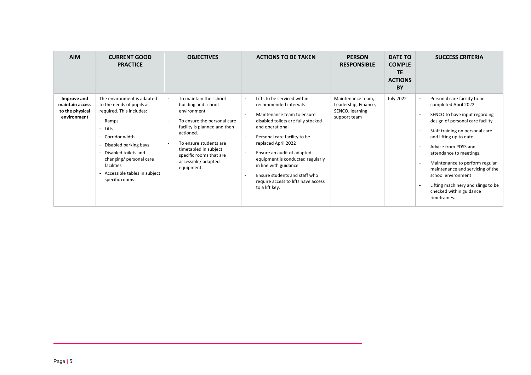| <b>AIM</b>                                                       | <b>CURRENT GOOD</b><br><b>PRACTICE</b>                                                                                                                                                                                                                                          | <b>OBJECTIVES</b>                                                                                                                                                                                                                                                                                        | <b>ACTIONS TO BE TAKEN</b>                                                                                                                                                                                                                                                                                                                                                                                                             | <b>PERSON</b><br><b>RESPONSIBLE</b>                                          | <b>DATE TO</b><br><b>COMPLE</b><br><b>TE</b><br><b>ACTIONS</b><br>BY | <b>SUCCESS CRITERIA</b>                                                                                                                                                                                                                                                                                                                                                                                                |
|------------------------------------------------------------------|---------------------------------------------------------------------------------------------------------------------------------------------------------------------------------------------------------------------------------------------------------------------------------|----------------------------------------------------------------------------------------------------------------------------------------------------------------------------------------------------------------------------------------------------------------------------------------------------------|----------------------------------------------------------------------------------------------------------------------------------------------------------------------------------------------------------------------------------------------------------------------------------------------------------------------------------------------------------------------------------------------------------------------------------------|------------------------------------------------------------------------------|----------------------------------------------------------------------|------------------------------------------------------------------------------------------------------------------------------------------------------------------------------------------------------------------------------------------------------------------------------------------------------------------------------------------------------------------------------------------------------------------------|
| Improve and<br>maintain access<br>to the physical<br>environment | The environment is adapted<br>to the needs of pupils as<br>required. This includes:<br>- Ramps<br>- Lifts<br>- Corridor width<br>- Disabled parking bays<br>- Disabled toilets and<br>changing/ personal care<br>facilities<br>- Accessible tables in subject<br>specific rooms | To maintain the school<br>$\blacksquare$<br>building and school<br>environment<br>To ensure the personal care<br>facility is planned and then<br>actioned.<br>To ensure students are<br>$\overline{\phantom{a}}$<br>timetabled in subject<br>specific rooms that are<br>accessible/adapted<br>equipment. | Lifts to be serviced within<br>$\blacksquare$<br>recommended intervals<br>Maintenance team to ensure<br>disabled toilets are fully stocked<br>and operational<br>Personal care facility to be<br>replaced April 2022<br>Ensure an audit of adapted<br>$\overline{\phantom{a}}$<br>equipment is conducted regularly<br>in line with guidance.<br>Ensure students and staff who<br>require access to lifts have access<br>to a lift key. | Maintenance team,<br>Leadership, Finance,<br>SENCO, learning<br>support team | <b>July 2022</b>                                                     | Personal care facility to be<br>completed April 2022<br>SENCO to have input regarding<br>design of personal care facility<br>Staff training on personal care<br>and lifting up to date.<br>Advice from PDSS and<br>attendance to meetings.<br>Maintenance to perform regular<br>maintenance and servicing of the<br>school environment<br>Lifting machinery and slings to be<br>checked within guidance<br>timeframes. |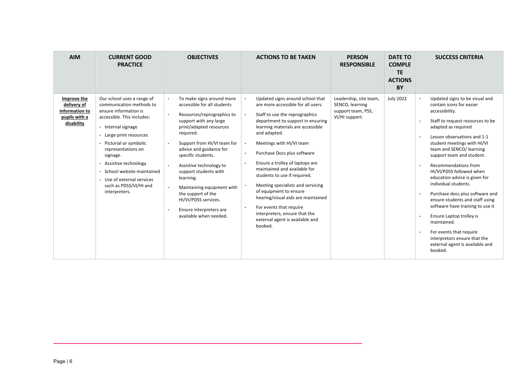| <b>AIM</b>                                                                  | <b>CURRENT GOOD</b><br><b>PRACTICE</b>                                                                                                                                                                                                                                                                                                                    | <b>OBJECTIVES</b>                                                                                                                                                                                                                                                                                                                                                                                                                          | <b>ACTIONS TO BE TAKEN</b>                                                                                                                                                                                                                                                                                                                                                                                                                                                                                                                                                                                                                                                                                                                                               | <b>PERSON</b><br><b>RESPONSIBLE</b>                                               | <b>DATE TO</b><br><b>COMPLE</b><br><b>TE</b><br><b>ACTIONS</b><br><b>BY</b> | <b>SUCCESS CRITERIA</b>                                                                                                                                                                                                                                                                                                                                                                                                                                                                                                                                                                                                                   |
|-----------------------------------------------------------------------------|-----------------------------------------------------------------------------------------------------------------------------------------------------------------------------------------------------------------------------------------------------------------------------------------------------------------------------------------------------------|--------------------------------------------------------------------------------------------------------------------------------------------------------------------------------------------------------------------------------------------------------------------------------------------------------------------------------------------------------------------------------------------------------------------------------------------|--------------------------------------------------------------------------------------------------------------------------------------------------------------------------------------------------------------------------------------------------------------------------------------------------------------------------------------------------------------------------------------------------------------------------------------------------------------------------------------------------------------------------------------------------------------------------------------------------------------------------------------------------------------------------------------------------------------------------------------------------------------------------|-----------------------------------------------------------------------------------|-----------------------------------------------------------------------------|-------------------------------------------------------------------------------------------------------------------------------------------------------------------------------------------------------------------------------------------------------------------------------------------------------------------------------------------------------------------------------------------------------------------------------------------------------------------------------------------------------------------------------------------------------------------------------------------------------------------------------------------|
| Improve the<br>delivery of<br>information to<br>pupils with a<br>disability | Our school uses a range of<br>communication methods to<br>ensure information is<br>accessible. This includes:<br>- Internal signage<br>- Large print resources<br>- Pictorial or symbolic<br>representations on<br>signage.<br>Assistive technology<br>School website maintained<br>- Use of external services<br>such as PDSS/VI/HI and<br>interpreters. | To make signs around more<br>accessible for all students<br>Resources/reprographics to<br>support with any large<br>print/adapted resources<br>required.<br>Support from HI/VI team for<br>advice and guidance for<br>specific students.<br>Assistive technology to<br>support students with<br>learning.<br>Maintaining equipment with<br>the support of the<br>HI/VI/PDSS services.<br>Ensure interpreters are<br>available when needed. | Updated signs around school that<br>$\overline{\phantom{a}}$<br>are more accessible for all users<br>$\blacksquare$<br>Staff to use the reprographics<br>department to support in ensuring<br>learning materials are accessible<br>and adapted.<br>Meetings with HI/VI team<br>$\overline{\phantom{a}}$<br>Purchase Docs plus software<br>$\overline{\phantom{a}}$<br>Ensure a trolley of laptops are<br>$\overline{\phantom{a}}$<br>maintained and available for<br>students to use if required.<br>Meeting specialists and servicing<br>$\overline{\phantom{a}}$<br>of equipment to ensure<br>hearing/visual aids are maintained<br>For events that require<br>$\overline{\phantom{a}}$<br>interpreters, ensure that the<br>external agent is available and<br>booked. | Leadership, site team,<br>SENCO, learning<br>support team, PSS,<br>VI/HI support. | <b>July 2022</b>                                                            | Updated signs to be visual and<br>contain icons for easier<br>accessibility.<br>Staff to request resources to be<br>adapted as required<br>Lesson observations and 1-1<br>student meetings with HI/VI<br>team and SENCO/ learning<br>support team and student.<br>Recommendations from<br>HI/VI/PDSS followed when<br>education advice is given for<br>individual students.<br>Purchase docs plus software and<br>ensure students and staff using<br>software have training to use it<br>Ensure Laptop trolley is<br>maintained.<br>For events that require<br>interpretors ensure that the<br>external agent is available and<br>booked. |